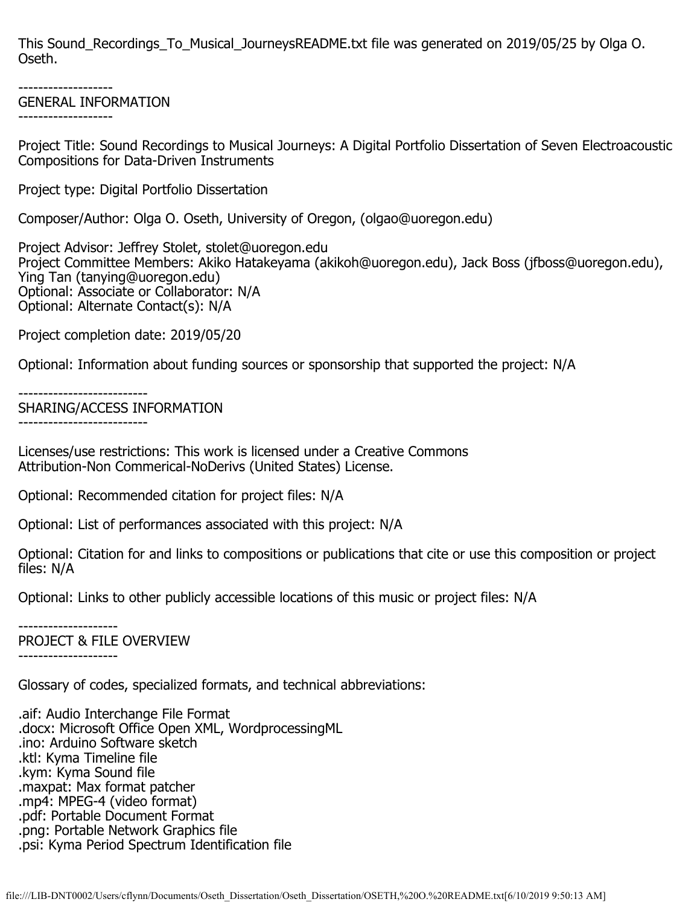This Sound Recordings To Musical JourneysREADME.txt file was generated on 2019/05/25 by Olga O. Oseth.

-------------------

## GENERAL INFORMATION

-------------------

Project Title: Sound Recordings to Musical Journeys: A Digital Portfolio Dissertation of Seven Electroacoustic Compositions for Data-Driven Instruments

Project type: Digital Portfolio Dissertation

Composer/Author: Olga O. Oseth, University of Oregon, (olgao@uoregon.edu)

Project Advisor: Jeffrey Stolet, stolet@uoregon.edu Project Committee Members: Akiko Hatakeyama (akikoh@uoregon.edu), Jack Boss (jfboss@uoregon.edu), Ying Tan (tanying@uoregon.edu) Optional: Associate or Collaborator: N/A Optional: Alternate Contact(s): N/A

Project completion date: 2019/05/20

Optional: Information about funding sources or sponsorship that supported the project: N/A

--------------------------

SHARING/ACCESS INFORMATION --------------------------

Licenses/use restrictions: This work is licensed under a Creative Commons Attribution-Non Commerical-NoDerivs (United States) License.

Optional: Recommended citation for project files: N/A

Optional: List of performances associated with this project: N/A

Optional: Citation for and links to compositions or publications that cite or use this composition or project files: N/A

Optional: Links to other publicly accessible locations of this music or project files: N/A

-------------------- PROJECT & FILE OVERVIEW

--------------------

Glossary of codes, specialized formats, and technical abbreviations:

.aif: Audio Interchange File Format .docx: Microsoft Office Open XML, WordprocessingML .ino: Arduino Software sketch .ktl: Kyma Timeline file .kym: Kyma Sound file .maxpat: Max format patcher .mp4: MPEG-4 (video format) .pdf: Portable Document Format .png: Portable Network Graphics file .psi: Kyma Period Spectrum Identification file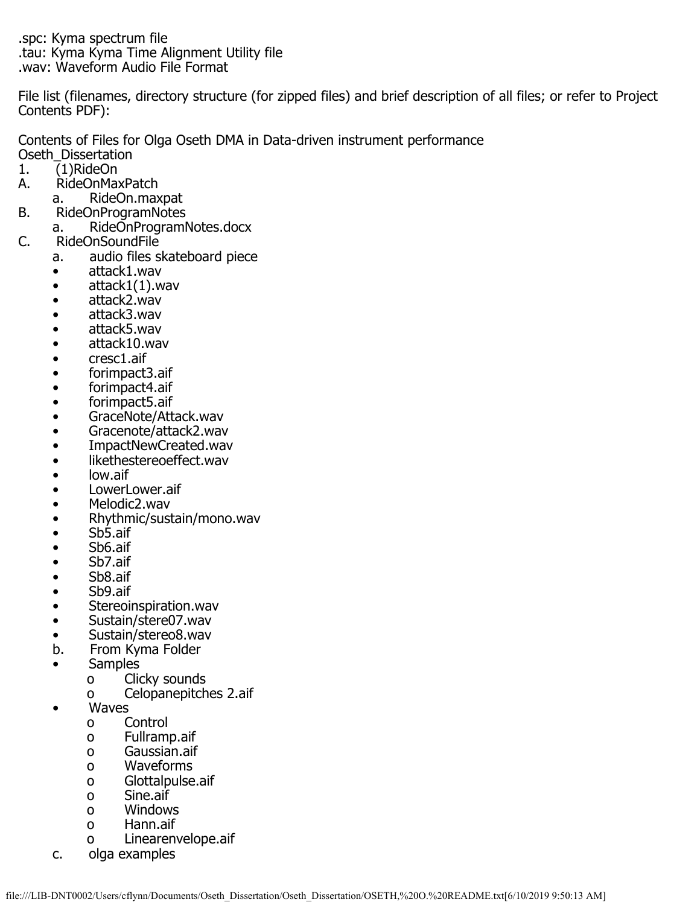.spc: Kyma spectrum file .tau: Kyma Kyma Time Alignment Utility file .wav: Waveform Audio File Format

File list (filenames, directory structure (for zipped files) and brief description of all files; or refer to Project Contents PDF):

Contents of Files for Olga Oseth DMA in Data-driven instrument performance

- Oseth\_Dissertation<br>1. (1)RideOn
- 1. (1)RideOn<br>A. RideOnMa A. RideOnMaxPatch
	-
- a. RideOn.maxpat<br>B. RideOnProgramNotes B. RideOnProgramNotes
- a. RideOnProgramNotes.docx<br>C. RideOnSoundFile
- RideOnSoundFile
	- a. audio files skateboard piece
		- attack1.wav
		- attack1(1).wav<br>• attack2.wav
		- attack2.wav
		- attack3.wav
		- attack5.wav
		- attack10.wav
		- cresc1.aif
		- forimpact3.aif
		- forimpact4.aif
		- forimpact5.aif
		- GraceNote/Attack.wav
		- Gracenote/attack2.wav
		- ImpactNewCreated.wav
		- likethestereoeffect.wav
		- low.aif
		- LowerLower.aif
		- Melodic2.wav
		- Rhythmic/sustain/mono.wav
		- Sb5.aif
		- Sb6.aif
		- Sb7.aif
		- Sb8.aif
		- Sb9.aif
		- Stereoinspiration.wav
		- Sustain/stere07.wav
		- Sustain/stereo8.wav<br>b. From Kyma Folder
		- b. From Kyma Folder
		- Samples
			- o Clicky sounds
				- o Celopanepitches 2.aif
		- **Waves** 
			- o Control
			- o Fullramp.aif
			- o Gaussian.aif
			- o Waveforms
			- o Glottalpulse.aif
			- o Sine.aif<br>o Window
			- o Windows<br>o Hann.aif
			- Hann.aif
			- o Linearenvelope.aif
		- c. olga examples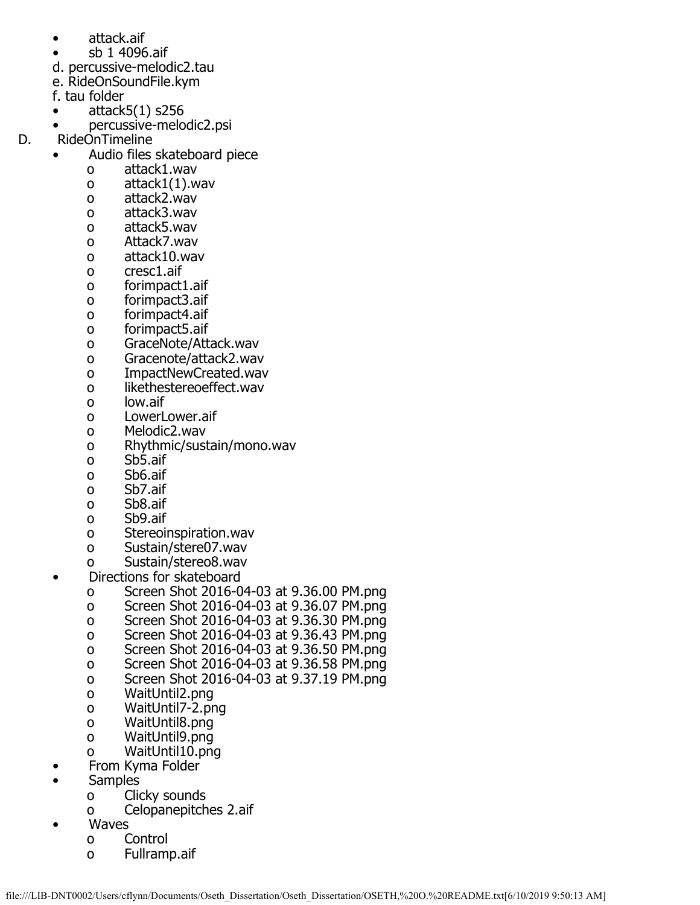- attack.aif
- sb 1 4096.aif
- d. percussive-melodic2.tau
- e. RideOnSoundFile.kym
- f. tau folder
- $\bullet$  attack5(1) s256
- percussive-melodic2.psi<br>D. RideOnTimeline
	- RideOnTimeline
		- Audio files skateboard piece
			- o attack1.wav
			- o attack1(1).wav
			- o attack2.wav
			- o attack3.wav
			- o attack5.wav
			- o Attack7.wav
			- o attack10.wav
			- o cresc1.aif
			- o forimpact1.aif
			- o forimpact3.aif
			- o forimpact4.aif
			- o forimpact5.aif
			- o GraceNote/Attack.wav
			- o Gracenote/attack2.wav
			- o ImpactNewCreated.wav
			- o likethestereoeffect.wav<br>o low.aif
			- low.aif
			- o LowerLower.aif
			- o Melodic2.wav
			- o Rhythmic/sustain/mono.wav
			- o Sb5.aif
			- o Sb6.aif
			- Sb7.aif
			- o Sb8.aif
			- o Sb9.aif
			- o Stereoinspiration.wav
			- o Sustain/stere07.wav
			- o Sustain/stereo8.wav
			- Directions for skateboard
				- o Screen Shot 2016-04-03 at 9.36.00 PM.png
				- o Screen Shot 2016-04-03 at 9.36.07 PM.png
				- o Screen Shot 2016-04-03 at 9.36.30 PM.png
				- o Screen Shot 2016-04-03 at 9.36.43 PM.png
				- o Screen Shot 2016-04-03 at 9.36.50 PM.png
				- o Screen Shot 2016-04-03 at 9.36.58 PM.png
				- o Screen Shot 2016-04-03 at 9.37.19 PM.png
				- o WaitUntil2.png
				- o WaitUntil7-2.png
				- o WaitUntil8.png
				- o WaitUntil9.png
				- o WaitUntil10.png
				- From Kyma Folder
		- **Samples** 
			- o Clicky sounds
			- o Celopanepitches 2.aif
			- **Waves** 
				- o Control
				- o Fullramp.aif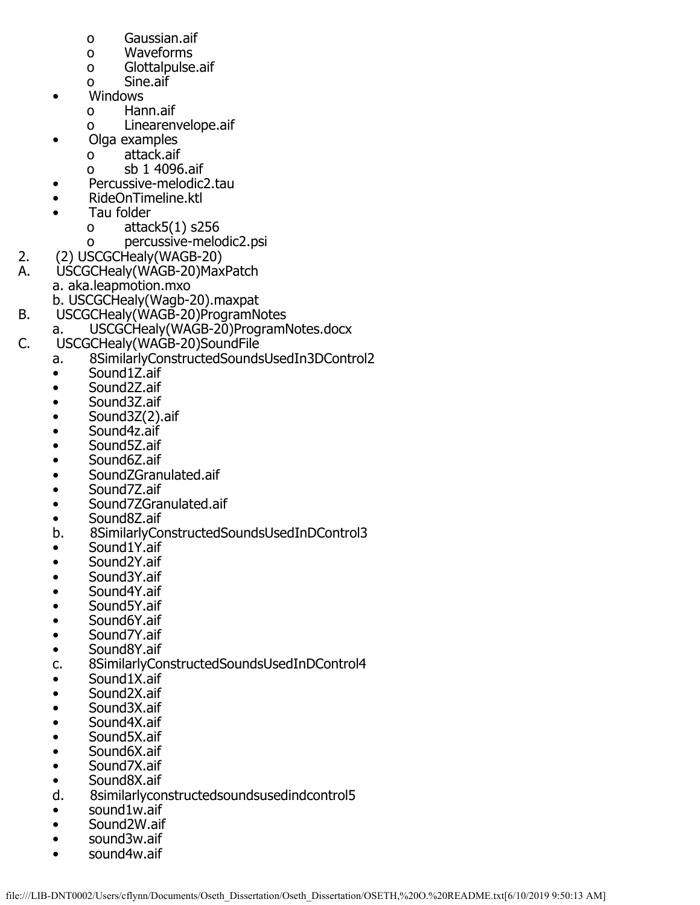- o Gaussian.aif
- o Waveforms
- o Glottalpulse.aif
- o Sine.aif
- Windows
	- o Hann.aif
	- o Linearenvelope.aif
- Olga examples
	- o attack.aif
	- o sb 1 4096.aif
- Percussive-melodic2.tau
- RideOnTimeline.ktl
- Tau folder
	- o attack5(1) s256
- o percussive-melodic2.psi<br>2. (2) USCGCHealv(WAGB-20)
	-
- 2. (2) USCGCHealy(WAGB-20)<br>A. USCGCHealy(WAGB-20)Max USCGCHealy(WAGB-20)MaxPatch a. aka.leapmotion.mxo
- b. USCGCHealy(Wagb-20).maxpat<br>B. USCGCHealy(WAGB-20)ProgramN
- USCGCHealy(WAGB-20)ProgramNotes
- a. USCGCHealy(WAGB-20)ProgramNotes.docx<br>C. USCGCHealy(WAGB-20)SoundFile
- USCGCHealy(WAGB-20)SoundFile
	- a. 8SimilarlyConstructedSoundsUsedIn3DControl2
	- Sound1Z.aif
	- Sound2Z.aif
	- Sound3Z.aif
	- Sound3Z(2).aif
	- Sound4z.aif
	- Sound5Z.aif
	- Sound6Z.aif
	- SoundZGranulated.aif
	- Sound7Z.aif
	- Sound7ZGranulated.aif
	- Sound8Z.aif<br>b. 8SimilarlyCo
	- b. 8SimilarlyConstructedSoundsUsedInDControl3
	- Sound1Y.aif
	- Sound2Y.aif<br>• Sound3Y.aif
	- Sound3Y.aif
	- Sound4Y.aif
	- Sound5Y.aif
	- Sound6Y.aif
	- Sound7Y.aif
	- Sound8Y.aif
	- c. 8SimilarlyConstructedSoundsUsedInDControl4
	- Sound1X.aif
	- Sound2X.aif
	- Sound3X.aif
	- Sound4X.aif
	- Sound5X.aif
	- Sound6X.aif
	- Sound7X.aif
	- Sound8X.aif<br>d. 8similarlycor
	- d. 8similarlyconstructedsoundsusedindcontrol5
	- sound1w.aif
	- Sound2W.aif
	- sound3w.aif
	- sound4w.aif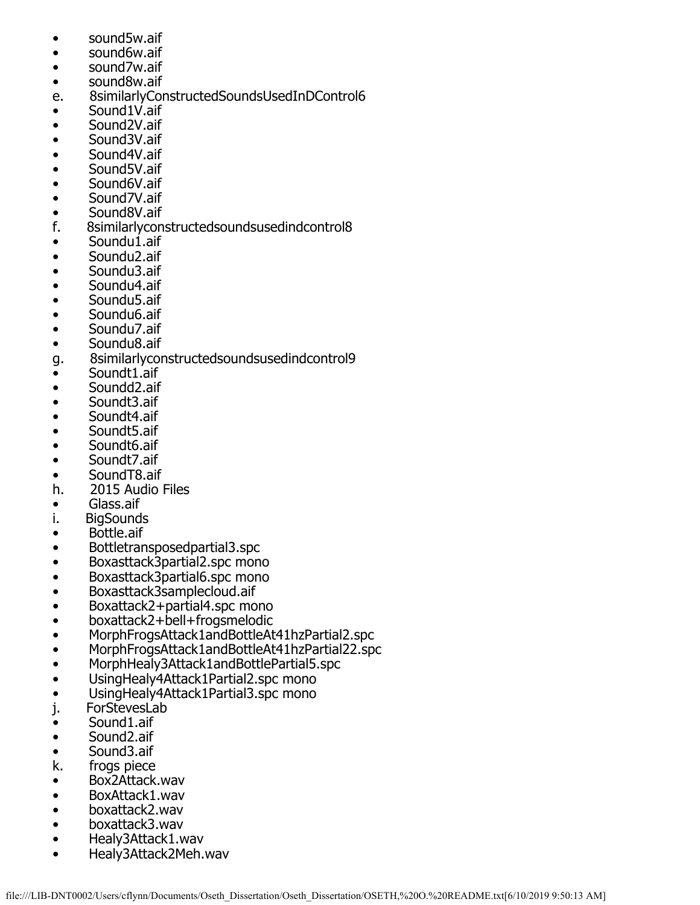- sound5w.aif
- sound6w.aif
- sound7w.aif
- sound8w.aif
- e. 8similarlyConstructedSoundsUsedInDControl6
- Sound1V.aif
- Sound2V.aif
- Sound3V.aif
- Sound4V.aif
- Sound5V.aif
- Sound6V.aif
- Sound7V.aif<br>• Sound8V.aif
- Sound8V.aif<br>f. 8similarlycon
- f. 8similarlyconstructedsoundsusedindcontrol8
- Soundu1.aif<br>• Soundu2.aif
- Soundu2.aif
- Soundu3.aif
- Soundu4.aif<br>• Soundu5.aif
- Soundu5.aif
- Soundu6.aif
- Soundu7.aif
- Soundu8.aif
- g. 8similarlyconstructedsoundsusedindcontrol9
- Soundt1.aif<br>• Soundd2.aif
- Soundd2.aif<br>• Soundt3.aif
- Soundt3.aif
- Soundt4.aif
- Soundt5.aif
- Soundt6.aif
- Soundt7.aif
- 
- SoundT8.aif<br>h. 2015 Audio 2015 Audio Files
- Glass.aif
- **BigSounds**
- Bottle.aif
- Bottletransposedpartial3.spc
- Boxasttack3partial2.spc mono<br>• Boxasttack3partial6.spc mono
- Boxasttack3partial6.spc mono
- Boxasttack3samplecloud.aif
- Boxattack2+partial4.spc mono<br>• boxattack2+bell+frogsmelodic
- boxattack2+bell+frogsmelodic<br>• MorphFrogsAttack1andBottleAt
- MorphFrogsAttack1andBottleAt41hzPartial2.spc
- MorphFrogsAttack1andBottleAt41hzPartial22.spc
- MorphHealy3Attack1andBottlePartial5.spc
- UsingHealy4Attack1Partial2.spc mono
- UsingHealy4Attack1Partial3.spc mono<br>j. ForStevesLab
- **ForStevesLab**
- Sound1.aif
- Sound2.aif
- Sound3.aif<br>k. frogs piece
- frogs piece
- Box2Attack.wav<br>• BoxAttack1.wav
- BoxAttack1.wav<br>• boxattack2.wav
- boxattack2.wav
- boxattack3.wav
- Healy3Attack1.wav
- Healy3Attack2Meh.wav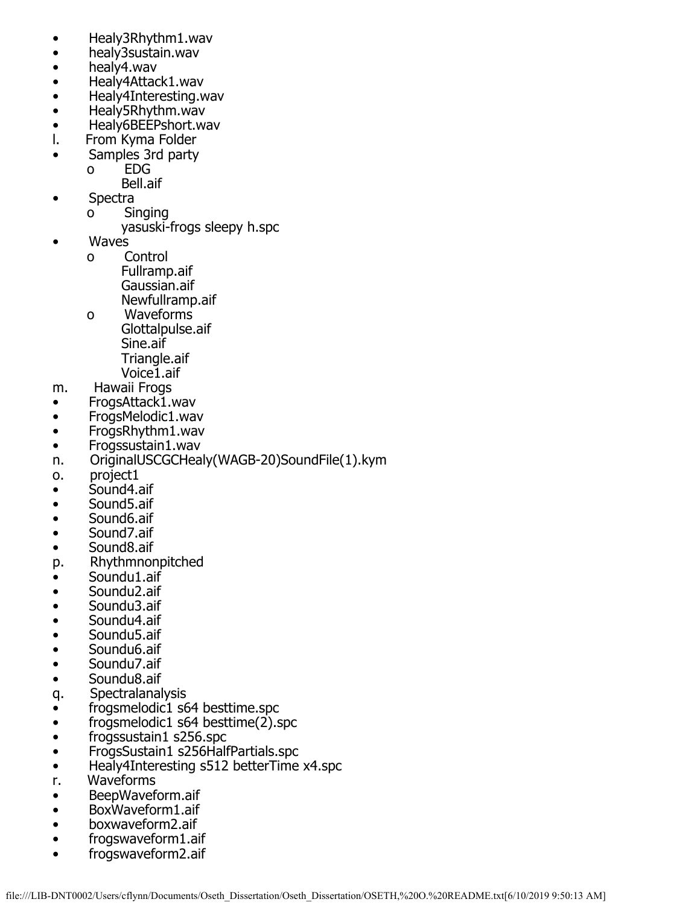- Healy3Rhythm1.wav
- healy3sustain.wav
- healy4.wav<br>• Healy4Attad
- Healy4Attack1.wav
- Healy4Interesting.wav
- Healy5Rhythm.wav<br>• Healy6BEEPshort.w
- Healy6BEEPshort.wav<br>I. From Kyma Folder
- From Kyma Folder
- Samples 3rd party
	- o EDG
	- Bell.aif
- Spectra
	- o Singing
		- yasuski-frogs sleepy h.spc
- Waves
	- o Control Fullramp.aif Gaussian.aif
	- Newfullramp.aif<br>o Waveforms Waveforms
		- Glottalpulse.aif Sine.aif Triangle.aif Voice1.aif
- m. Hawaii Frogs
- FrogsAttack1.wav
- FrogsMelodic1.wav
- FrogsRhythm1.wav
- Frogssustain1.wav
- n. OriginalUSCGCHealy(WAGB-20)SoundFile(1).kym
- o. project1
- Sound4.aif
- Sound5.aif
- Sound6.aif
- Sound7.aif
- Sound8.aif
- p. Rhythmnonpitched<br>• Soundu1.aif
- Soundu1.aif
- Soundu2.aif
- Soundu3.aif
- Soundu4.aif
- Soundu5.aif
- Soundu6.aif
- Soundu7.aif
- Soundu8.aif
- q. Spectralanalysis
- frogsmelodic1 s64 besttime.spc<br>• frogsmelodic1 s64 besttime(2).s
- $frogsmelodic1 s64 besttime(2).$ spc
- frogssustain1 s256.spc
- FrogsSustain1 s256HalfPartials.spc
- Healy4Interesting s512 betterTime x4.spc
- r. Waveforms
- BeepWaveform.aif<br>• BoxWaveform1.aif
- BoxWaveform1.aif
- boxwaveform2.aif
- frogswaveform1.aif • frogswaveform2.aif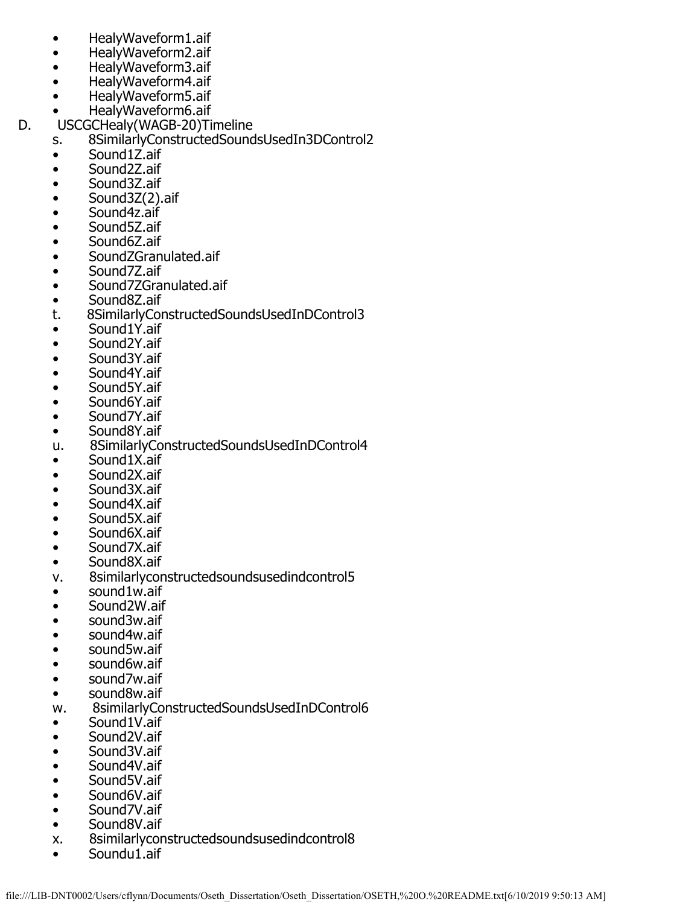- HealyWaveform1.aif
- HealyWaveform2.aif
- HealyWaveform3.aif
- HealyWaveform4.aif
- HealyWaveform5.aif
- HealyWaveform6.aif<br>D. USCGCHealy(WAGB-20)Ti
	- USCGCHealy(WAGB-20)Timeline
		- s. 8SimilarlyConstructedSoundsUsedIn3DControl2
		- Sound1Z.aif<br>• Sound2Z.aif
		- Sound2Z.aif
		- Sound3Z.aif
		- Sound3Z(2).aif
		- Sound4z.aif
		- Sound5Z.aif
		- Sound6Z.aif
		- SoundZGranulated.aif
		- Sound7Z.aif
		- Sound7ZGranulated.aif<br>• Sound87.aif
		- Sound8Z.aif<br>t. 8SimilarlyCor
		- t. 8SimilarlyConstructedSoundsUsedInDControl3
		- Sound1Y.aif
		- Sound2Y.aif
		- Sound3Y.aif
		- Sound4Y.aif
		- Sound5Y.aif
		- Sound6Y.aif
		- Sound7Y.aif
		- Sound8Y.aif
		- u. 8SimilarlyConstructedSoundsUsedInDControl4
		- Sound1X.aif
		- Sound2X.aif<br>• Sound3X.aif
		- Sound3X.aif
		- Sound4X.aif
		- Sound5X.aif
		- Sound6X.aif
		- Sound7X.aif
		-
		- Sound8X.aif<br>v. 8similarlycor 8similarlyconstructedsoundsusedindcontrol5
		- sound1w.aif
		- Sound2W.aif
		- sound3w.aif
		- sound4w.aif
		- sound5w.aif
		- sound6w.aif
		- sound7w.aif
		- sound8w.aif
		- w. 8similarlyConstructedSoundsUsedInDControl6
		- Sound1V.aif
		- Sound2V.aif
		- Sound3V.aif
		- Sound4V.aif
		- Sound5V.aif
		- Sound6V.aif
		- Sound7V.aif
		- Sound8V.aif
		- x. 8similarlyconstructedsoundsusedindcontrol8
		- Soundu1.aif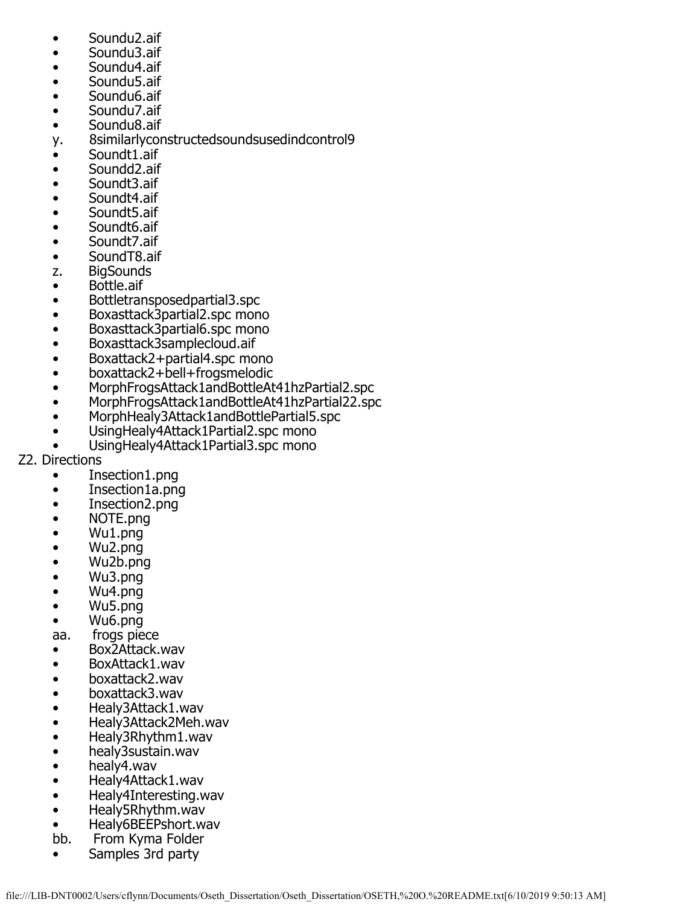- Soundu2.aif
- Soundu3.aif
- Soundu4.aif
- Soundu5.aif
- Soundu6.aif
- Soundu7.aif<br>• Soundu8.aif
- Soundu8.aif
- y. 8similarlyconstructedsoundsusedindcontrol9
- Soundt1.aif<br>• Soundd2.aif
- Soundd<sub>2.aif</sub>
- Soundt3.aif
- Soundt4.aif<br>• Soundt5.aif
- Soundt<sub>5.aif</sub>
- Soundt6.aif
- Soundt7.aif<br>• SoundT8.aif
- SoundT8.aif<br>z. BigSounds
- **BigSounds**
- Bottle.aif<br>• Bottletran
- Bottletransposedpartial3.spc
- Boxasttack3partial2.spc mono
- Boxasttack3partial6.spc mono
- Boxasttack3samplecloud.aif<br>• Boxattack2+partial4.spc mo
- Boxattack2+partial4.spc mono
- boxattack2+bell+frogsmelodic
- MorphFrogsAttack1andBottleAt41hzPartial2.spc
- MorphFrogsAttack1andBottleAt41hzPartial22.spc
- MorphHealy3Attack1andBottlePartial5.spc
- UsingHealy4Attack1Partial2.spc mono
- UsingHealy4Attack1Partial3.spc mono
- Z2. Directions
	- Insection1.png
	- Insection1a.png
	- Insection2.png
	- NOTE.png
	- Wu1.png
	- Wu2.png
	- Wu2b.png
	- Wu3.png
	- Wu4.png
	- Wu5.png
	- Wu6.png
	- aa. frogs piece
	- Box2Attack.wav
	- BoxAttack1.wav
	- boxattack2.wav
	- boxattack3.wav
	-
	- Healy3Attack1.wav • Healy3Attack2Meh.wav
	- Healy3Rhythm1.wav
	- healy3sustain.wav
	- healy4.wav
	- Healy4Attack1.wav
	- Healy4Interesting.wav
	- Healy5Rhythm.wav
	- Healy6BEEPshort.wav<br>bb. From Kyma Folder
	- bb. From Kyma Folder
	- Samples 3rd party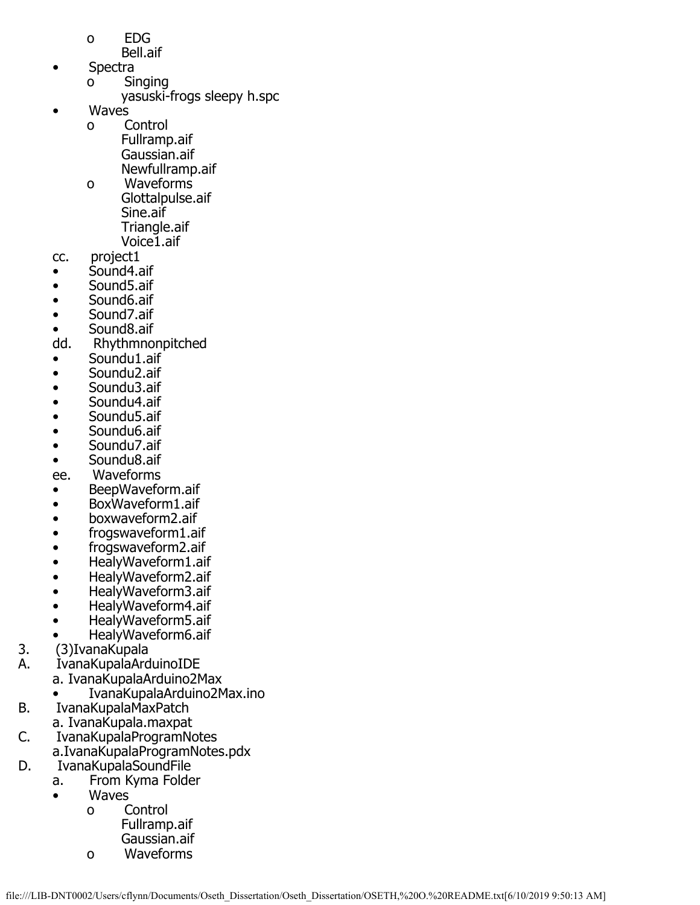- o EDG
- Bell.aif
- Spectra
	- o Singing
		- yasuski-frogs sleepy h.spc
- Waves<br>0
	- Control Fullramp.aif Gaussian.aif Newfullramp.aif
	- o Waveforms Glottalpulse.aif Sine.aif Triangle.aif
- Voice1.aif<br>cc. project1 project1
- Sound4.aif
- Sound5.aif<br>• Sound6.aif
- Sound<sub>6</sub>.aif
- Sound7.aif
- Sound8.aif<br>dd. Rhythmno
- Rhythmnonpitched
- Soundu1.aif<br>• Soundu2.aif
- Soundu2.aif
- Soundu3.aif
- Soundu4.aif
- Soundu5.aif
- Soundu6.aif
- Soundu7.aif
- Soundu8.aif
- ee. Waveforms
- BeepWaveform.aif
- BoxWaveform1.aif
- boxwaveform2.aif
- frogswaveform1.aif
- frogswaveform2.aif
- HealyWaveform1.aif<br>• HealyWaveform2.aif
- HealyWaveform2.aif
- HealyWaveform3.aif
- HealyWaveform4.aif
- HealyWaveform5.aif
- HealyWaveform6.aif<br>3. (3)IvanaKupala
- 3. (3)IvanaKupala<br>A. IvanaKupalaArd
- IvanaKupalaArduinoIDE
	- a. IvanaKupalaArduino2Max
- IvanaKupalaArduino2Max.ino<br>B. IvanaKupalaMaxPatch
	- B. IvanaKupalaMaxPatch
- a. IvanaKupala.maxpat<br>C. IvanaKupalaProgramNo
- IvanaKupalaProgramNotes
- a.IvanaKupalaProgramNotes.pdx<br>D. IvanaKupalaSoundFile
	- IvanaKupalaSoundFile
		- a. From Kyma Folder
		- Waves
			- o Control Fullramp.aif
			- Gaussian.aif<br>o Waveforms
			- Waveforms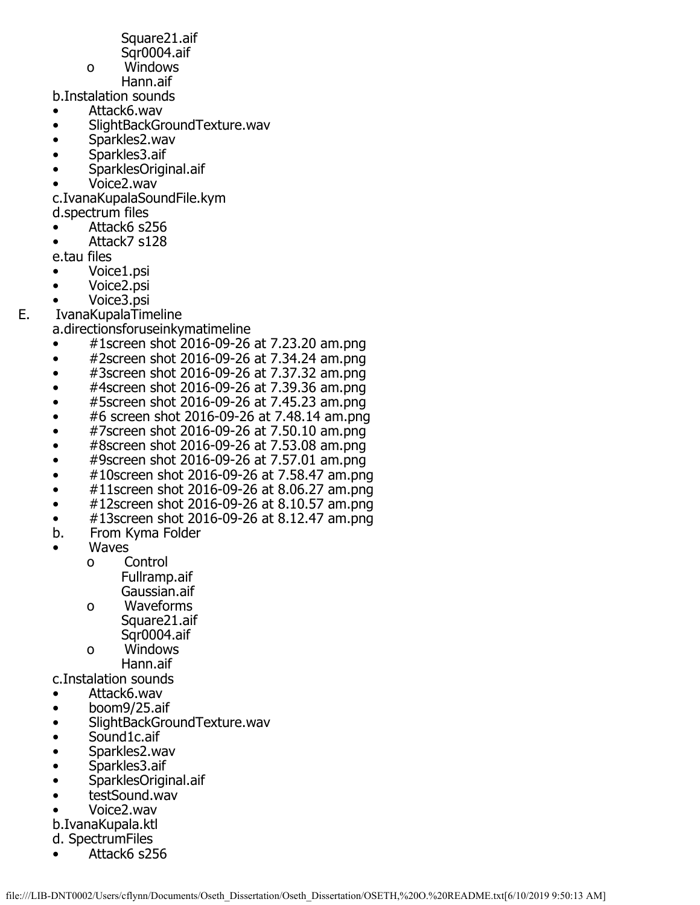Square21.aif

- Sqr0004.aif
- o Windows
- Hann.aif

b.Instalation sounds

- Attack6.wav<br>• SlightBackGr
- SlightBackGroundTexture.wav
- Sparkles2.wav
- Sparkles3.aif
- SparklesOriginal.aif
- Voice2.wav

c.IvanaKupalaSoundFile.kym

- d.spectrum files
- Attack6 s256
- Attack7 s128

e.tau files

- Voice1.psi
- Voice2.psi
- 
- Voice3.psi<br>E. IvanaKupalaTim E. IvanaKupalaTimeline
	- a.directionsforuseinkymatimeline
		- #1screen shot 2016-09-26 at 7.23.20 am.png
		- #2screen shot 2016-09-26 at 7.34.24 am.png
		- #3screen shot 2016-09-26 at 7.37.32 am.png
		- #4screen shot 2016-09-26 at 7.39.36 am.png
		- #5screen shot 2016-09-26 at 7.45.23 am.png
		- #6 screen shot 2016-09-26 at 7.48.14 am.png
		- #7screen shot 2016-09-26 at 7.50.10 am.png
		- #8screen shot 2016-09-26 at 7.53.08 am.png
		- #9screen shot 2016-09-26 at 7.57.01 am.png
		- #10screen shot 2016-09-26 at 7.58.47 am.png
		- $\bullet$  #11screen shot 2016-09-26 at 8.06.27 am.png
		- #12screen shot 2016-09-26 at 8.10.57 am.png
		- $\#13$ screen shot 2016-09-26 at 8.12.47 am.png<br>b. From Kyma Folder
		- b. From Kyma Folder
		- **Waves** 
			- o Control Fullramp.aif Gaussian.aif
			- o Waveforms Square21.aif Sqr0004.aif<br>o Windows
			- Windows Hann.aif

c.Instalation sounds

- Attack6.wav
- 
- boom9/25.aif • SlightBackGroundTexture.wav
- Sound1c.aif
- Sparkles2.wav
- Sparkles3.aif
- SparklesOriginal.aif
- testSound.wav
- Voice2.wav
- b.IvanaKupala.ktl
- d. SpectrumFiles
- Attack6 s256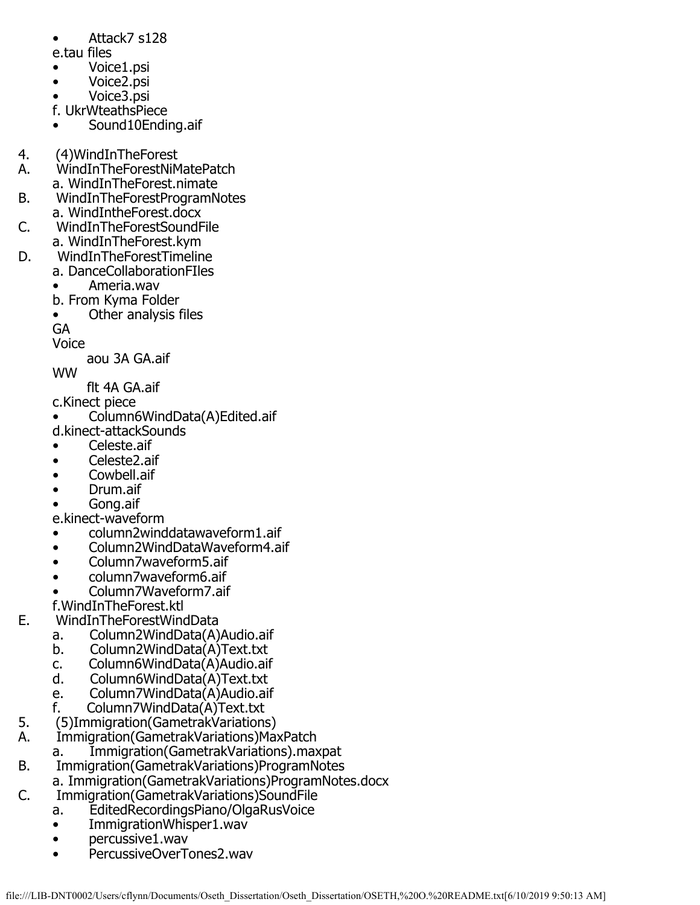- Attack7 s128
- e.tau files
- Voice1.psi
- Voice2.psi
- Voice3.psi
- f. UkrWteathsPiece
- Sound10Ending.aif
- 4. (4) WindIn The Forest<br>A. WindIn The Forest NiM
- A. WindInTheForestNiMatePatch
- a. WindInTheForest.nimate<br>B. WindInTheForestProgramN
- B. WindInTheForestProgramNotes
- a. WindIntheForest.docx<br>C. WindInTheForestSoundF C. WindInTheForestSoundFile
- a. WindInTheForest.kym<br>D. WindInTheForestTimelir
	- D. WindInTheForestTimeline
		- a. DanceCollaborationFIles
		- Ameria.wav
		- b. From Kyma Folder
		- Other analysis files

GA

Voice

aou 3A GA.aif

- WW
	- flt 4A GA.aif
- c.Kinect piece
- Column6WindData(A)Edited.aif
- d.kinect-attackSounds
- Celeste.aif
- Celeste2.aif
- Cowbell.aif
- Drum.aif
- Gong.aif
- e.kinect-waveform
- column2winddatawaveform1.aif
- Column2WindDataWaveform4.aif
- Column7waveform5.aif
- column7waveform6.aif
- Column7Waveform7.aif
- f.WindInTheForest.ktl<br>E. WindInTheForestWin
	- E. WindInTheForestWindData
		- a. Column2WindData(A)Audio.aif<br>b. Column2WindData(A)Text.txt
			- b. Column2WindData(A)Text.txt
		- c. Column6WindData(A)Audio.aif<br>d. Column6WindData(A)Text.txt
		- Column6WindData(A)Text.txt
		- e. Column7WindData(A)Audio.aif<br>f. Column7WindData(A)Text.txt
		-
- f. Column7WindData(A)Text.txt<br>5. (5)Immigration(GametrakVariation 5. (5) Immigration (Gametrak Variations)<br>A. Immigration (Gametrak Variations) Ma
- A. Immigration(GametrakVariations)MaxPatch
- a. Immigration(GametrakVariations).maxpat<br>B. Immigration(GametrakVariations)ProgramNotes
	- B. Immigration(GametrakVariations)ProgramNotes
- a. Immigration(GametrakVariations)ProgramNotes.docx<br>C. Immigration(GametrakVariations)SoundFile
- C. Immigration(GametrakVariations)SoundFile
	- a. EditedRecordingsPiano/OlgaRusVoice
	- ImmigrationWhisper1.wav
	- percussive1.wav
	- PercussiveOverTones2.wav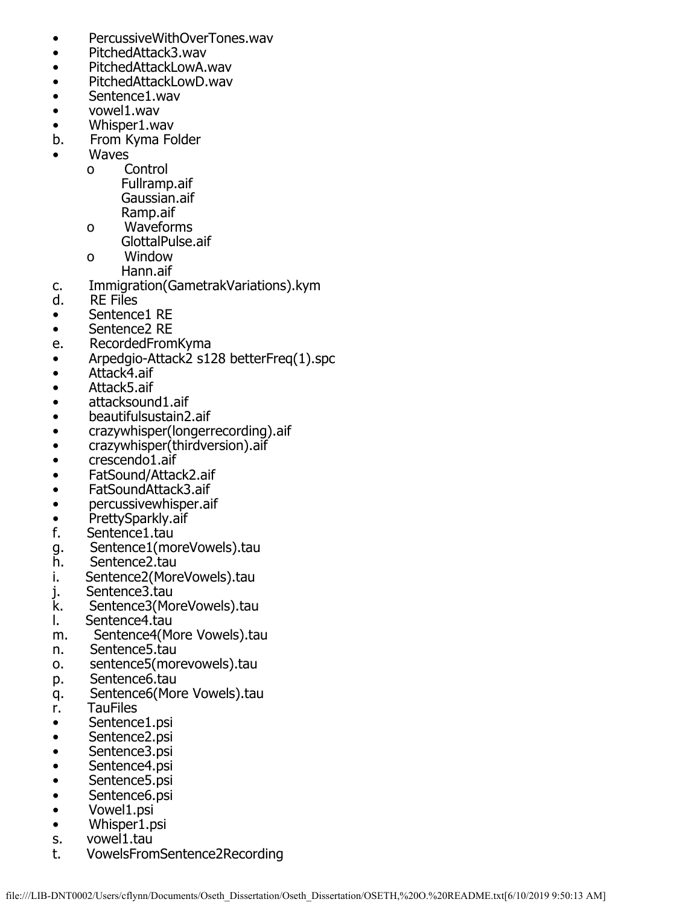- PercussiveWithOverTones.wav
- PitchedAttack3.wav
- PitchedAttackLowA.wav
- PitchedAttackLowD.wav
- Sentence1.wav
- vowel1.wav
- Whisper1.wav<br>b. From Kyma Fo
- b. From Kyma Folder
- **Waves** 
	- o Control Fullramp.aif Gaussian.aif Ramp.aif
	- o Waveforms GlottalPulse.aif<br>o Window
		- Window Hann.aif
- c. Immigration(GametrakVariations).kym
- RE Files
- Sentence1 RE
- Sentence2 RE
- e. RecordedFromKyma
- Arpedgio-Attack2 s128 betterFreq(1).spc
- Attack4.aif
- Attack5.aif
- attacksound1.aif
- beautifulsustain2.aif
- crazywhisper(longerrecording).aif
- crazywhisper(thirdversion).aif
- crescendo1.aif
- FatSound/Attack2.aif
- FatSoundAttack3.aif
- percussivewhisper.aif
- PrettySparkly.aif<br>f. Sentence1.tau
- Sentence1.tau
- g. Sentence1(moreVowels).tau<br>h. Sentence2.tau
- h. Sentence2.tau<br>i. Sentence2(More
- i. Sentence2(MoreVowels).tau<br>j. Sentence3.tau
- j. Sentence3.tau<br>k. Sentence3(Mo
- k. Sentence3(MoreVowels).tau<br>I. Sentence4.tau
- Sentence4.tau
- m. Sentence4(More Vowels).tau
- n. Sentence5.tau
- o. sentence5(morevowels).tau
- p. Sentence6.tau
- q. Sentence6(More Vowels).tau
- r. TauFiles
- Sentence1.psi
- Sentence2.psi
- Sentence3.psi
- Sentence4.psi
- Sentence5.psi
- Sentence6.psi
- Vowel1.psi
- Whisper1.psi
- s. vowel1.tau<br>t. VowelsFron
- t. VowelsFromSentence2Recording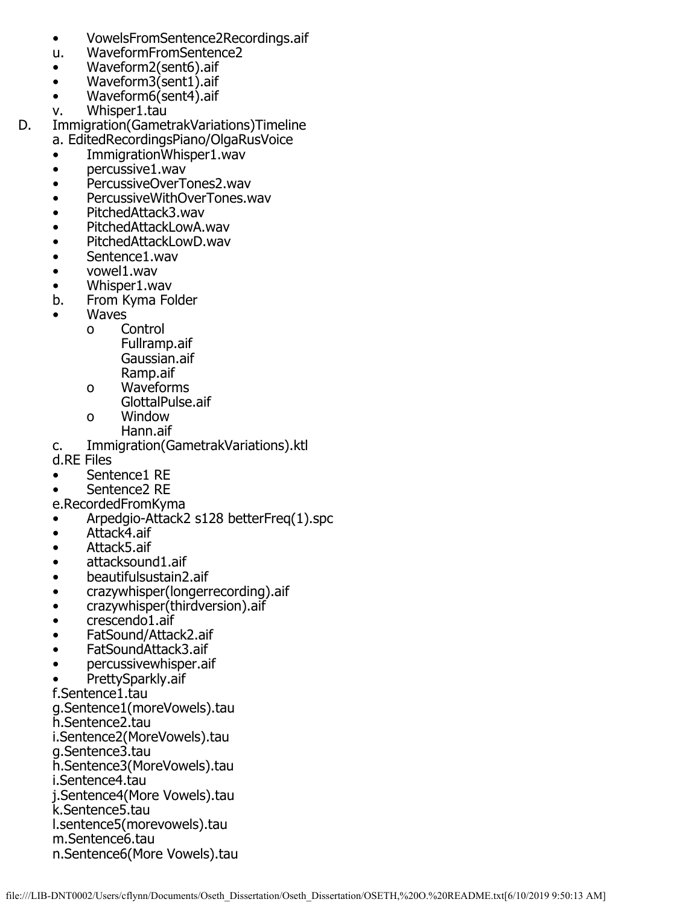- VowelsFromSentence2Recordings.aif
- WaveformFromSentence2
- Waveform2(sent6).aif
- Waveform3(sent1).aif
- Waveform6(sent4).aif
- v. Whisper1.tau
- D. Immigration(GametrakVariations)Timeline
	- a. EditedRecordingsPiano/OlgaRusVoice
	- ImmigrationWhisper1.wav
	- percussive1.wav
	- PercussiveOverTones2.wav
	- PercussiveWithOverTones.wav
	- PitchedAttack3.wav
	- PitchedAttackLowA.wav
	- PitchedAttackLowD.wav
	- Sentence1.wav
	- vowel1.wav
	- Whisper1.wav<br>b. From Kyma Fo
	- From Kyma Folder
	- **Waves** 
		- o Control
			- Fullramp.aif Gaussian.aif Ramp.aif
			- o Waveforms GlottalPulse.aif
			- o Window
	- Hann.aif<br>C. Immigration(G Immigration(GametrakVariations).ktl
	- d.RE Files
	- Sentence1 RE
	- Sentence2 RE
	- e.RecordedFromKyma
	- Arpedgio-Attack2 s128 betterFreq(1).spc
	- Attack4.aif
	- Attack5.aif
	- attacksound1.aif
	- beautifulsustain2.aif
	- crazywhisper(longerrecording).aif
	- crazywhisper(thirdversion).aif
	- crescendo1.aif
	- FatSound/Attack2.aif
	- FatSoundAttack3.aif
	- percussivewhisper.aif
	- PrettySparkly.aif
	- f.Sentence1.tau

g.Sentence1(moreVowels).tau

h.Sentence2.tau

i.Sentence2(MoreVowels).tau

- g.Sentence3.tau
- h.Sentence3(MoreVowels).tau

i.Sentence4.tau

j.Sentence4(More Vowels).tau

k.Sentence5.tau

l.sentence5(morevowels).tau

m.Sentence6.tau n.Sentence6(More Vowels).tau

file:///LIB-DNT0002/Users/cflynn/Documents/Oseth\_Dissertation/Oseth\_Dissertation/OSETH,%20O.%20README.txt[6/10/2019 9:50:13 AM]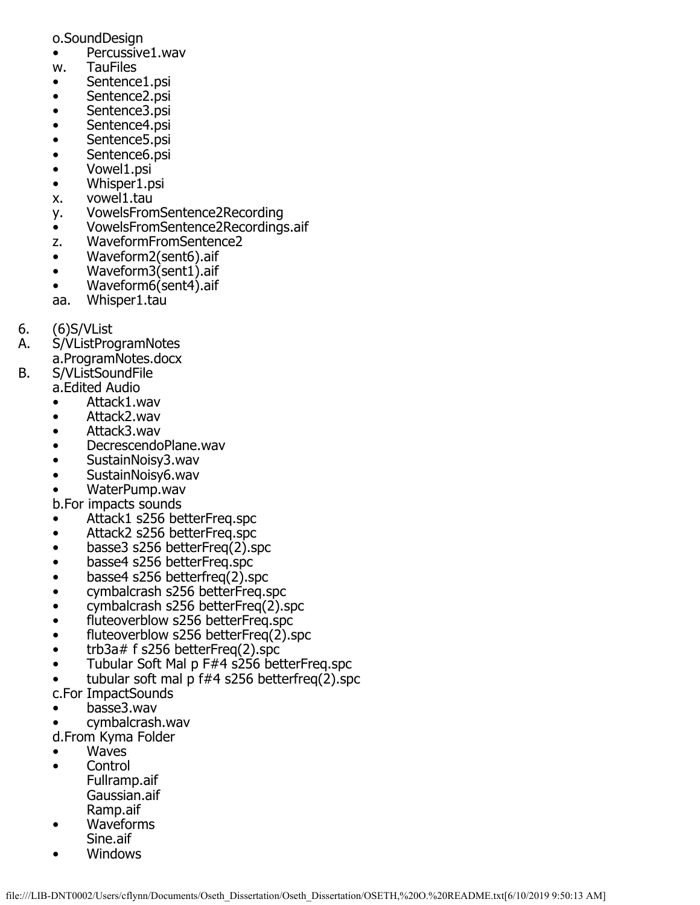- o.SoundDesign
- Percussive1.wav
- w. TauFiles
- Sentence1.psi
- Sentence2.psi
- Sentence3.psi
- Sentence4.psi
- Sentence5.psi
- Sentence6.psi
- Vowel1.psi
- Whisper1.psi
- x. vowel1.tau
- y. VowelsFromSentence2Recording
- VowelsFromSentence2Recordings.aif
- z. WaveformFromSentence2
- Waveform2(sent6).aif
- Waveform3(sent1).aif
- Waveform6(sent4).aif
- aa. Whisper1.tau
- 6. (6)S/VList
- A. S/VListProgramNotes
	- a.ProgramNotes.docx
- B. S/VListSoundFile
	- a.Edited Audio
		- Attack1.wav
		- Attack2.wav
		- Attack3.wav
		- DecrescendoPlane.wav
		- SustainNoisy3.wav
		- SustainNoisy6.wav
		- WaterPump.wav
		- b.For impacts sounds
		- Attack1 s256 betterFreq.spc
		- Attack2 s256 betterFreq.spc
		- basse3 s256 betterFreq(2).spc
		- basse4 s256 betterFreq.spc
		- basse4 s256 betterfreq(2).spc
		- cymbalcrash s256 betterFreq.spc
		- cymbalcrash s256 betterFreq(2).spc
		- fluteoverblow s256 betterFreq.spc
		- fluteoverblow s256 betterFreq(2).spc
		- trb3a# f s256 betterFreq(2).spc
		- Tubular Soft Mal p F#4 s256 betterFreq.spc
		- tubular soft mal p  $f#4$  s256 betterfreq $(2)$ .spc
		- c.For ImpactSounds
		- basse3.wav
		- cymbalcrash.wav
		- d.From Kyma Folder
		- Waves
		- Control Fullramp.aif Gaussian.aif Ramp.aif
		- Waveforms Sine.aif
		- Windows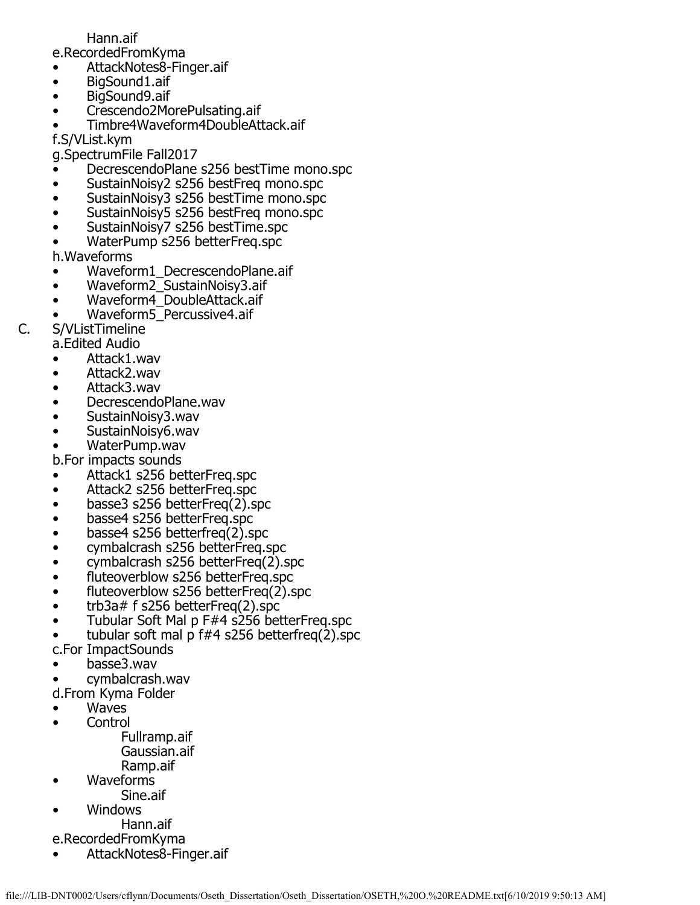## Hann.aif

e.RecordedFromKyma

- AttackNotes8-Finger.aif<br>• BigSound1.aif
- BigSound1.aif
- BigSound9.aif
- Crescendo2MorePulsating.aif
- Timbre4Waveform4DoubleAttack.aif

f.S/VList.kym

g.SpectrumFile Fall2017

- DecrescendoPlane s256 bestTime mono.spc
- SustainNoisy2 s256 bestFreq mono.spc
- SustainNoisy3 s256 bestTime mono.spc
- SustainNoisy5 s256 bestFreq mono.spc
- SustainNoisy7 s256 bestTime.spc
- WaterPump s256 betterFreq.spc

h.Waveforms

- Waveform1\_DecrescendoPlane.aif
- Waveform2\_SustainNoisy3.aif
- Waveform4\_DoubleAttack.aif
- Waveform5\_Percussive4.aif
- C. S/VListTimeline
	- a.Edited Audio
	- Attack1.wav
	- Attack2.wav
	- Attack3.wav
	- DecrescendoPlane.wav
	- SustainNoisy3.wav
	- SustainNoisy6.wav
	- WaterPump.wav
	- b.For impacts sounds
	- Attack1 s256 betterFreq.spc
	- Attack2 s256 betterFreq.spc
	- basse3 s256 betterFreq(2).spc
	- basse4 s256 betterFreq.spc
	- basse4 s256 betterfreq(2).spc
	- cymbalcrash s256 betterFreq.spc
	- cymbalcrash s256 betterFreq(2).spc
	- fluteoverblow s256 betterFreq.spc
	- fluteoverblow s256 betterFreq(2).spc
	- trb3a# f s256 betterFreq(2).spc
	- Tubular Soft Mal p F#4 s256 betterFreq.spc
	- tubular soft mal p  $f#4$  s256 betterfreq $(2)$ .spc
	- c.For ImpactSounds
	- basse3.wav
	- cymbalcrash.wav
	- d.From Kyma Folder
	- **Waves**
	- Control
		- Fullramp.aif Gaussian.aif Ramp.aif
	- Waveforms
		- Sine.aif
	- Windows
	- Hann.aif
	- e.RecordedFromKyma
	- AttackNotes8-Finger.aif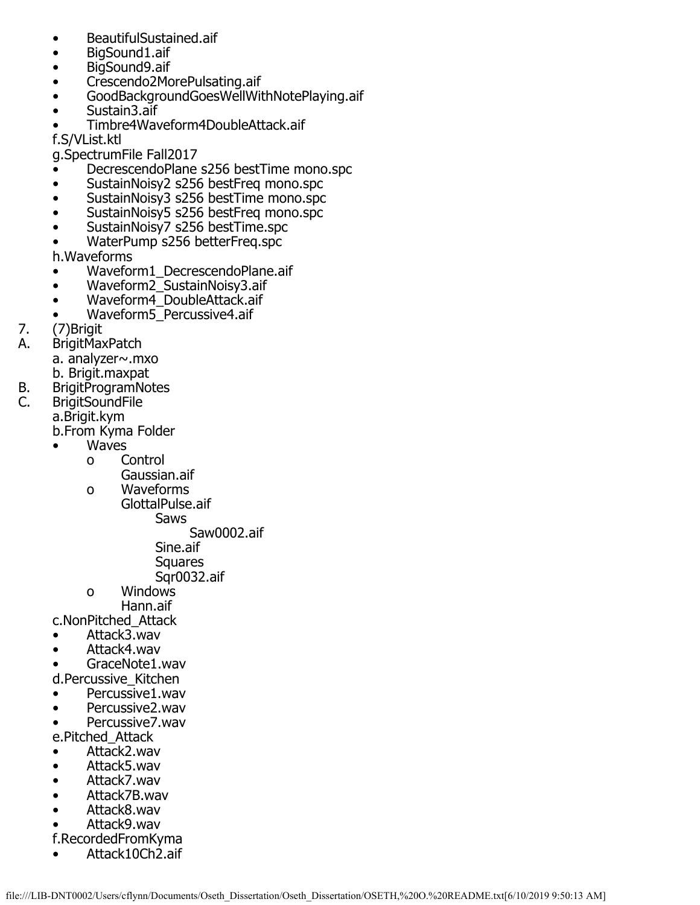- BeautifulSustained.aif
- BigSound1.aif
- BigSound9.aif
- Crescendo2MorePulsating.aif
- GoodBackgroundGoesWellWithNotePlaying.aif
- Sustain3.aif
- Timbre4Waveform4DoubleAttack.aif

f.S/VList.ktl

g.SpectrumFile Fall2017

- DecrescendoPlane s256 bestTime mono.spc
- SustainNoisy2 s256 bestFreq mono.spc
- SustainNoisy3 s256 bestTime mono.spc
- SustainNoisy5 s256 bestFreq mono.spc
- SustainNoisy7 s256 bestTime.spc
- WaterPump s256 betterFreq.spc

h.Waveforms

- Waveform1\_DecrescendoPlane.aif
- Waveform2\_SustainNoisy3.aif
- Waveform4\_DoubleAttack.aif
- Waveform5\_Percussive4.aif
- 7. (7) Brigit<br>A. BrigitMa
- **BrigitMaxPatch** 
	- a. analyzer~.mxo
	- b. Brigit.maxpat
- B. BrigitProgramNotes<br>C. BrigitSoundFile
- **BrigitSoundFile** a.Brigit.kym

b.From Kyma Folder

- **Waves** 
	- o Control
	- Gaussian.aif<br>o Waveforms
	- Waveforms GlottalPulse.aif
		- Saws

Saw0002.aif

- Sine.aif
- **Squares**
- 
- Sqr0032.aif<br>o Windows Windows Hann.aif
	-
- c.NonPitched\_Attack
- Attack3.wav
- Attack4.wav
- GraceNote1.wav
- d.Percussive\_Kitchen
- Percussive1.wav
- Percussive2.wav
- Percussive7.wav
- e.Pitched\_Attack
- Attack2.wav
- Attack5.wav
- Attack7.wav
- Attack7B.wav
- Attack8.wav
- Attack9.wav
- f.RecordedFromKyma
- Attack10Ch2.aif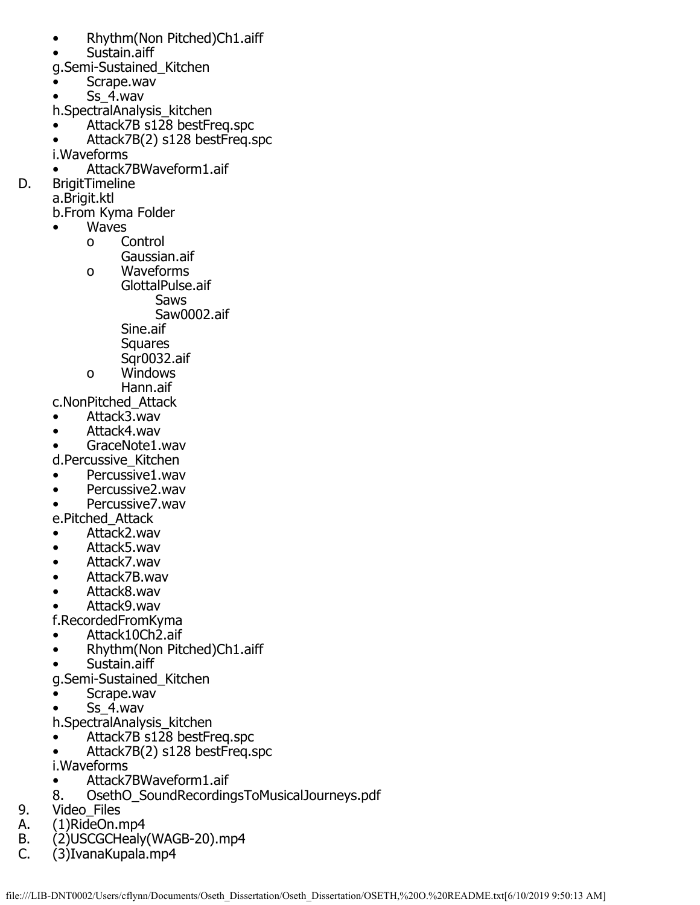- Rhythm(Non Pitched)Ch1.aiff
- Sustain.aiff
- g.Semi-Sustained\_Kitchen
- Scrape.wav
- Ss 4.wav
- h.SpectralAnalysis\_kitchen
- Attack7B s128 bestFreq.spc
- Attack7B(2) s128 bestFreq.spc i.Waveforms
- Attack7BWaveform1.aif
- D. BrigitTimeline
	- a.Brigit.ktl
		- b.From Kyma Folder
			- **Waves** 
				- o Control
				- Gaussian.aif o Waveforms
					- GlottalPulse.aif Saws
						- Saw0002.aif
						- Sine.aif
						- Squares
						- Sqr0032.aif
				- o Windows
				- Hann.aif

c.NonPitched\_Attack

- Attack3.wav
- Attack4.wav
- GraceNote1.wav
- d.Percussive\_Kitchen
- Percussive1.wav
- Percussive2.wav
- Percussive7.wav
- e.Pitched\_Attack
- Attack2.wav
- Attack5.wav
- Attack7.wav
- Attack7B.wav
- Attack8.wav
- Attack9.wav
- f.RecordedFromKyma
- Attack10Ch2.aif
- Rhythm(Non Pitched)Ch1.aiff
- Sustain.aiff
- g.Semi-Sustained\_Kitchen
- Scrape.wav
- Ss\_4.wav
- h.SpectralAnalysis\_kitchen
- Attack7B s128 bestFreq.spc
- Attack7B(2) s128 bestFreq.spc
- i.Waveforms
- Attack7BWaveform1.aif
- 8. OsethO\_SoundRecordingsToMusicalJourneys.pdf
- 9. Video\_Files<br>A. (1)RideOn.r
- A. (1)RideOn.mp4<br>B. (2)USCGCHealy
- B. (2)USCGCHealy(WAGB-20).mp4<br>C. (3)IvanaKupala.mp4
- C. (3)IvanaKupala.mp4